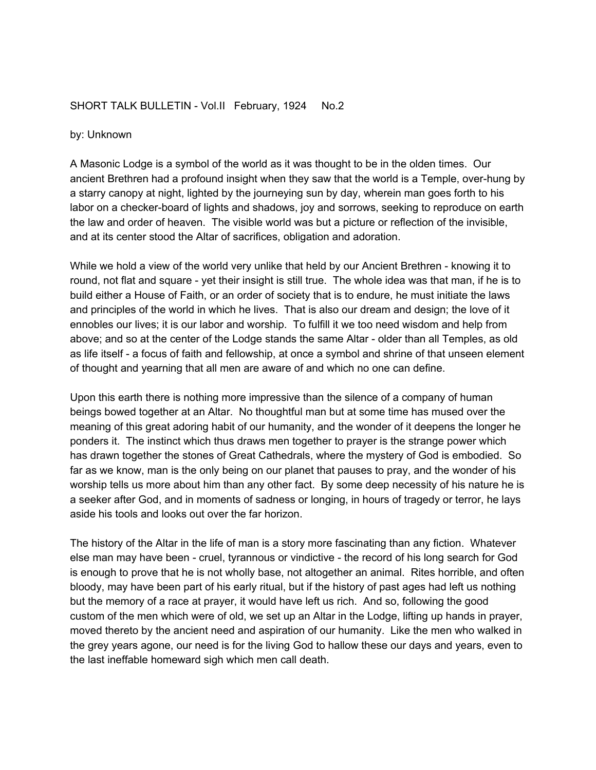## SHORT TALK BULLETIN - Vol.II February, 1924 No.2

## by: Unknown

A Masonic Lodge is a symbol of the world as it was thought to be in the olden times. Our ancient Brethren had a profound insight when they saw that the world is a Temple, over-hung by a starry canopy at night, lighted by the journeying sun by day, wherein man goes forth to his labor on a checker-board of lights and shadows, joy and sorrows, seeking to reproduce on earth the law and order of heaven. The visible world was but a picture or reflection of the invisible, and at its center stood the Altar of sacrifices, obligation and adoration.

While we hold a view of the world very unlike that held by our Ancient Brethren - knowing it to round, not flat and square - yet their insight is still true. The whole idea was that man, if he is to build either a House of Faith, or an order of society that is to endure, he must initiate the laws and principles of the world in which he lives. That is also our dream and design; the love of it ennobles our lives; it is our labor and worship. To fulfill it we too need wisdom and help from above; and so at the center of the Lodge stands the same Altar - older than all Temples, as old as life itself - a focus of faith and fellowship, at once a symbol and shrine of that unseen element of thought and yearning that all men are aware of and which no one can define.

Upon this earth there is nothing more impressive than the silence of a company of human beings bowed together at an Altar. No thoughtful man but at some time has mused over the meaning of this great adoring habit of our humanity, and the wonder of it deepens the longer he ponders it. The instinct which thus draws men together to prayer is the strange power which has drawn together the stones of Great Cathedrals, where the mystery of God is embodied. So far as we know, man is the only being on our planet that pauses to pray, and the wonder of his worship tells us more about him than any other fact. By some deep necessity of his nature he is a seeker after God, and in moments of sadness or longing, in hours of tragedy or terror, he lays aside his tools and looks out over the far horizon.

The history of the Altar in the life of man is a story more fascinating than any fiction. Whatever else man may have been - cruel, tyrannous or vindictive - the record of his long search for God is enough to prove that he is not wholly base, not altogether an animal. Rites horrible, and often bloody, may have been part of his early ritual, but if the history of past ages had left us nothing but the memory of a race at prayer, it would have left us rich. And so, following the good custom of the men which were of old, we set up an Altar in the Lodge, lifting up hands in prayer, moved thereto by the ancient need and aspiration of our humanity. Like the men who walked in the grey years agone, our need is for the living God to hallow these our days and years, even to the last ineffable homeward sigh which men call death.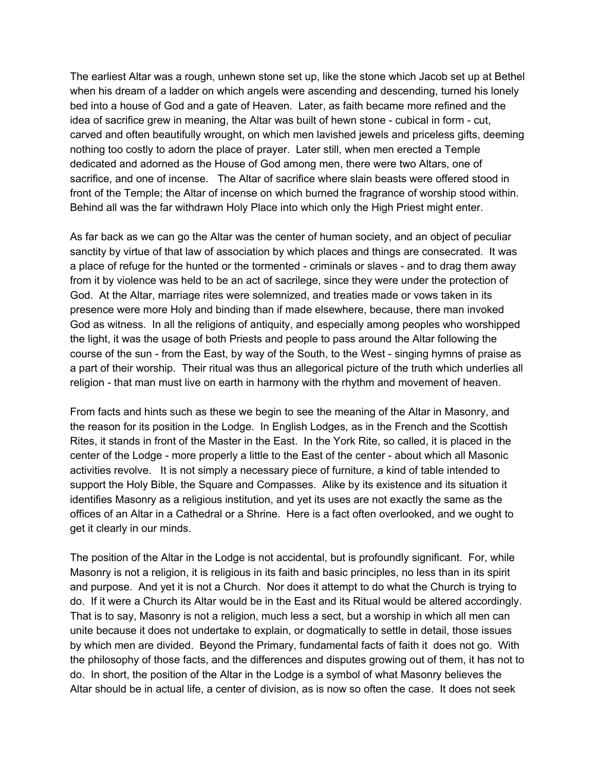The earliest Altar was a rough, unhewn stone set up, like the stone which Jacob set up at Bethel when his dream of a ladder on which angels were ascending and descending, turned his lonely bed into a house of God and a gate of Heaven. Later, as faith became more refined and the idea of sacrifice grew in meaning, the Altar was built of hewn stone - cubical in form - cut, carved and often beautifully wrought, on which men lavished jewels and priceless gifts, deeming nothing too costly to adorn the place of prayer. Later still, when men erected a Temple dedicated and adorned as the House of God among men, there were two Altars, one of sacrifice, and one of incense. The Altar of sacrifice where slain beasts were offered stood in front of the Temple; the Altar of incense on which burned the fragrance of worship stood within. Behind all was the far withdrawn Holy Place into which only the High Priest might enter.

As far back as we can go the Altar was the center of human society, and an object of peculiar sanctity by virtue of that law of association by which places and things are consecrated. It was a place of refuge for the hunted or the tormented - criminals or slaves - and to drag them away from it by violence was held to be an act of sacrilege, since they were under the protection of God. At the Altar, marriage rites were solemnized, and treaties made or vows taken in its presence were more Holy and binding than if made elsewhere, because, there man invoked God as witness. In all the religions of antiquity, and especially among peoples who worshipped the light, it was the usage of both Priests and people to pass around the Altar following the course of the sun - from the East, by way of the South, to the West - singing hymns of praise as a part of their worship. Their ritual was thus an allegorical picture of the truth which underlies all religion - that man must live on earth in harmony with the rhythm and movement of heaven.

From facts and hints such as these we begin to see the meaning of the Altar in Masonry, and the reason for its position in the Lodge. In English Lodges, as in the French and the Scottish Rites, it stands in front of the Master in the East. In the York Rite, so called, it is placed in the center of the Lodge - more properly a little to the East of the center - about which all Masonic activities revolve. It is not simply a necessary piece of furniture, a kind of table intended to support the Holy Bible, the Square and Compasses. Alike by its existence and its situation it identifies Masonry as a religious institution, and yet its uses are not exactly the same as the offices of an Altar in a Cathedral or a Shrine. Here is a fact often overlooked, and we ought to get it clearly in our minds.

The position of the Altar in the Lodge is not accidental, but is profoundly significant. For, while Masonry is not a religion, it is religious in its faith and basic principles, no less than in its spirit and purpose. And yet it is not a Church. Nor does it attempt to do what the Church is trying to do. If it were a Church its Altar would be in the East and its Ritual would be altered accordingly. That is to say, Masonry is not a religion, much less a sect, but a worship in which all men can unite because it does not undertake to explain, or dogmatically to settle in detail, those issues by which men are divided. Beyond the Primary, fundamental facts of faith it does not go. With the philosophy of those facts, and the differences and disputes growing out of them, it has not to do. In short, the position of the Altar in the Lodge is a symbol of what Masonry believes the Altar should be in actual life, a center of division, as is now so often the case. It does not seek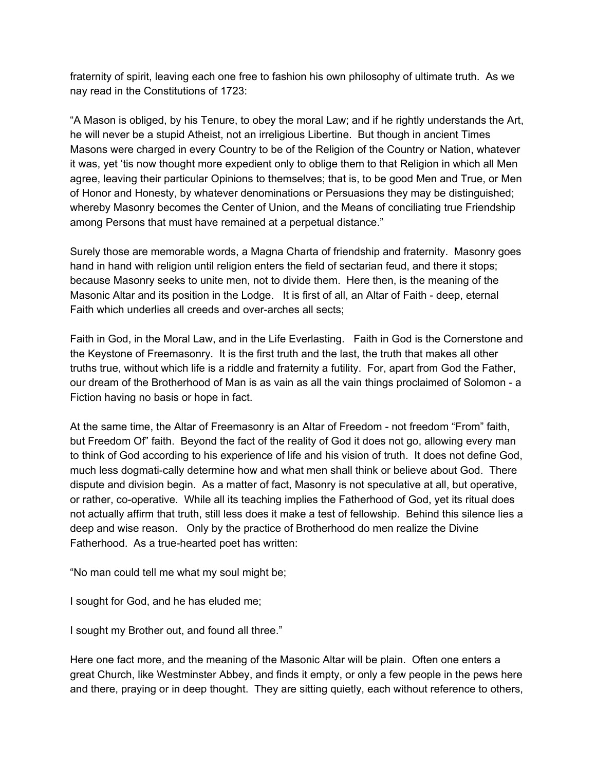fraternity of spirit, leaving each one free to fashion his own philosophy of ultimate truth. As we nay read in the Constitutions of 1723:

"A Mason is obliged, by his Tenure, to obey the moral Law; and if he rightly understands the Art, he will never be a stupid Atheist, not an irreligious Libertine. But though in ancient Times Masons were charged in every Country to be of the Religion of the Country or Nation, whatever it was, yet 'tis now thought more expedient only to oblige them to that Religion in which all Men agree, leaving their particular Opinions to themselves; that is, to be good Men and True, or Men of Honor and Honesty, by whatever denominations or Persuasions they may be distinguished; whereby Masonry becomes the Center of Union, and the Means of conciliating true Friendship among Persons that must have remained at a perpetual distance."

Surely those are memorable words, a Magna Charta of friendship and fraternity. Masonry goes hand in hand with religion until religion enters the field of sectarian feud, and there it stops; because Masonry seeks to unite men, not to divide them. Here then, is the meaning of the Masonic Altar and its position in the Lodge. It is first of all, an Altar of Faith - deep, eternal Faith which underlies all creeds and over-arches all sects;

Faith in God, in the Moral Law, and in the Life Everlasting. Faith in God is the Cornerstone and the Keystone of Freemasonry. It is the first truth and the last, the truth that makes all other truths true, without which life is a riddle and fraternity a futility. For, apart from God the Father, our dream of the Brotherhood of Man is as vain as all the vain things proclaimed of Solomon - a Fiction having no basis or hope in fact.

At the same time, the Altar of Freemasonry is an Altar of Freedom - not freedom "From" faith, but Freedom Of" faith. Beyond the fact of the reality of God it does not go, allowing every man to think of God according to his experience of life and his vision of truth. It does not define God, much less dogmati-cally determine how and what men shall think or believe about God. There dispute and division begin. As a matter of fact, Masonry is not speculative at all, but operative, or rather, co-operative. While all its teaching implies the Fatherhood of God, yet its ritual does not actually affirm that truth, still less does it make a test of fellowship. Behind this silence lies a deep and wise reason. Only by the practice of Brotherhood do men realize the Divine Fatherhood. As a true-hearted poet has written:

"No man could tell me what my soul might be;

I sought for God, and he has eluded me;

I sought my Brother out, and found all three."

Here one fact more, and the meaning of the Masonic Altar will be plain. Often one enters a great Church, like Westminster Abbey, and finds it empty, or only a few people in the pews here and there, praying or in deep thought. They are sitting quietly, each without reference to others,